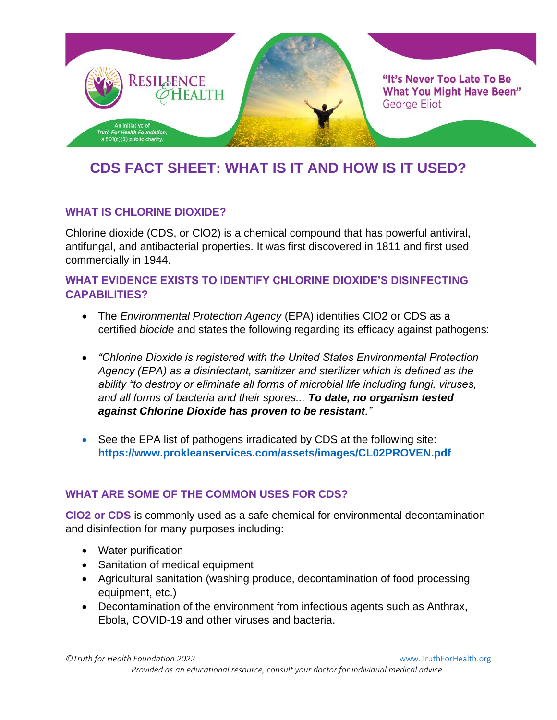

# **CDS FACT SHEET: WHAT IS IT AND HOW IS IT USED?**

#### **WHAT IS CHLORINE DIOXIDE?**

Chlorine dioxide (CDS, or ClO2) is a chemical compound that has powerful antiviral, antifungal, and antibacterial properties. It was first discovered in 1811 and first used commercially in 1944.

#### **WHAT EVIDENCE EXISTS TO IDENTIFY CHLORINE DIOXIDE'S DISINFECTING CAPABILITIES?**

- The *Environmental Protection Agency* (EPA) identifies ClO2 or CDS as a certified *biocide* and states the following regarding its efficacy against pathogens:
- *"Chlorine Dioxide is registered with the United States Environmental Protection Agency (EPA) as a disinfectant, sanitizer and sterilizer which is defined as the ability "to destroy or eliminate all forms of microbial life including fungi, viruses, and all forms of bacteria and their spores... To date, no organism tested against Chlorine Dioxide has proven to be resistant."*
- See the EPA list of pathogens irradicated by CDS at the following site: **<https://www.prokleanservices.com/assets/images/CL02PROVEN.pdf>**

#### **WHAT ARE SOME OF THE COMMON USES FOR CDS?**

**ClO2 or CDS** is commonly used as a safe chemical for environmental decontamination and disinfection for many purposes including:

- Water purification
- Sanitation of medical equipment
- Agricultural sanitation (washing produce, decontamination of food processing equipment, etc.)
- Decontamination of the environment from infectious agents such as Anthrax, Ebola, COVID-19 and other viruses and bacteria.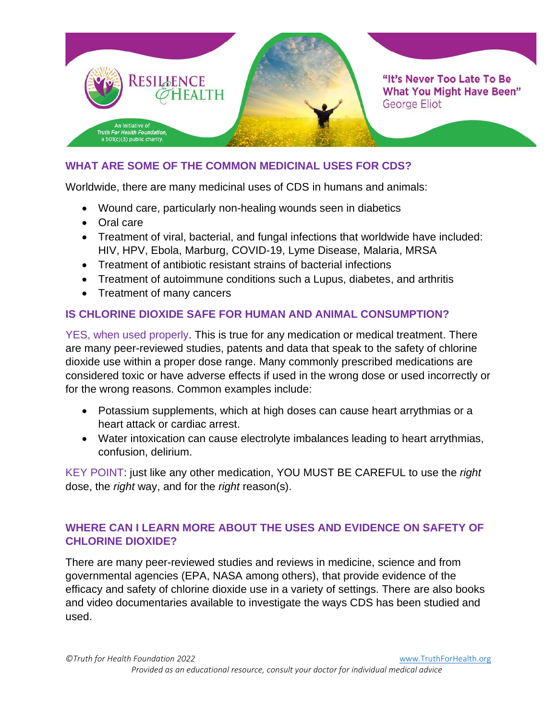

#### **WHAT ARE SOME OF THE COMMON MEDICINAL USES FOR CDS?**

Worldwide, there are many medicinal uses of CDS in humans and animals:

- Wound care, particularly non-healing wounds seen in diabetics
- Oral care
- Treatment of viral, bacterial, and fungal infections that worldwide have included: HIV, HPV, Ebola, Marburg, COVID-19, Lyme Disease, Malaria, MRSA
- Treatment of antibiotic resistant strains of bacterial infections
- Treatment of autoimmune conditions such a Lupus, diabetes, and arthritis
- Treatment of many cancers

#### **IS CHLORINE DIOXIDE SAFE FOR HUMAN AND ANIMAL CONSUMPTION?**

YES, when used properly. This is true for any medication or medical treatment. There are many peer-reviewed studies, patents and data that speak to the safety of chlorine dioxide use within a proper dose range. Many commonly prescribed medications are considered toxic or have adverse effects if used in the wrong dose or used incorrectly or for the wrong reasons. Common examples include:

- Potassium supplements, which at high doses can cause heart arrythmias or a heart attack or cardiac arrest.
- Water intoxication can cause electrolyte imbalances leading to heart arrythmias, confusion, delirium.

KEY POINT: just like any other medication, YOU MUST BE CAREFUL to use the *right* dose, the *right* way, and for the *right* reason(s).

#### **WHERE CAN I LEARN MORE ABOUT THE USES AND EVIDENCE ON SAFETY OF CHLORINE DIOXIDE?**

There are many peer-reviewed studies and reviews in medicine, science and from governmental agencies (EPA, NASA among others), that provide evidence of the efficacy and safety of chlorine dioxide use in a variety of settings. There are also books and video documentaries available to investigate the ways CDS has been studied and used.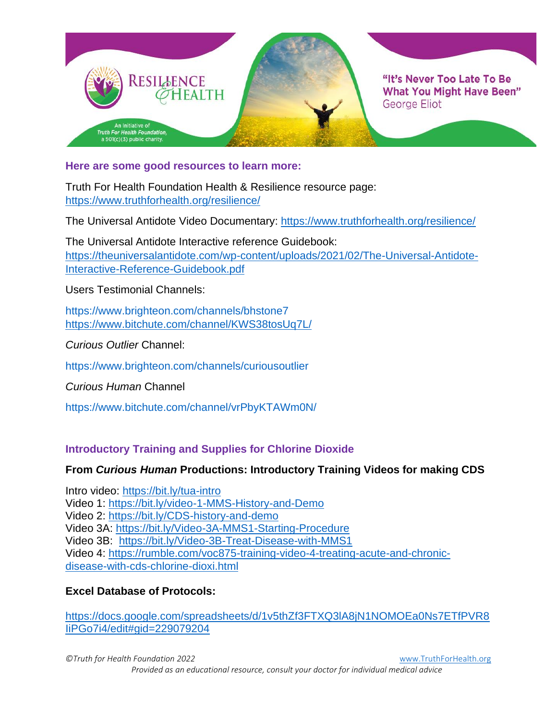

**Here are some good resources to learn more:**

Truth For Health Foundation Health & Resilience resource page: <https://www.truthforhealth.org/resilience/>

The Universal Antidote Video Documentary:<https://www.truthforhealth.org/resilience/>

The Universal Antidote Interactive reference Guidebook: [https://theuniversalantidote.com/wp-content/uploads/2021/02/The-Universal-Antidote-](https://theuniversalantidote.com/wp-content/uploads/2021/02/The-Universal-Antidote-Interactive-Reference-Guidebook.pdf)[Interactive-Reference-Guidebook.pdf](https://theuniversalantidote.com/wp-content/uploads/2021/02/The-Universal-Antidote-Interactive-Reference-Guidebook.pdf)

Users Testimonial Channels:

<https://www.brighteon.com/channels/bhstone7> <https://www.bitchute.com/channel/KWS38tosUq7L/>

*Curious Outlier* Channel:

<https://www.brighteon.com/channels/curiousoutlier>

*Curious Human* Channel

<https://www.bitchute.com/channel/vrPbyKTAWm0N/>

#### **Introductory Training and Supplies for Chlorine Dioxide**

#### **From** *Curious Human* **Productions: Introductory Training Videos for making CDS**

Intro video:<https://bit.ly/tua-intro> Video 1:<https://bit.ly/video-1-MMS-History-and-Demo> Video 2:<https://bit.ly/CDS-history-and-demo> Video 3A:<https://bit.ly/Video-3A-MMS1-Starting-Procedure> Video 3B: <https://bit.ly/Video-3B-Treat-Disease-with-MMS1> Video 4: [https://rumble.com/voc875-training-video-4-treating-acute-and-chronic](https://rumble.com/voc875-training-video-4-treating-acute-and-chronic-disease-with-cds-chlorine-dioxi.html)[disease-with-cds-chlorine-dioxi.html](https://rumble.com/voc875-training-video-4-treating-acute-and-chronic-disease-with-cds-chlorine-dioxi.html)

#### **Excel Database of Protocols:**

[https://docs.google.com/spreadsheets/d/1v5thZf3FTXQ3lA8jN1NOMOEa0Ns7ETfPVR8](https://docs.google.com/spreadsheets/d/1v5thZf3FTXQ3lA8jN1NOMOEa0Ns7ETfPVR8IiPGo7i4/edit#gid=229079204) [IiPGo7i4/edit#gid=229079204](https://docs.google.com/spreadsheets/d/1v5thZf3FTXQ3lA8jN1NOMOEa0Ns7ETfPVR8IiPGo7i4/edit#gid=229079204)